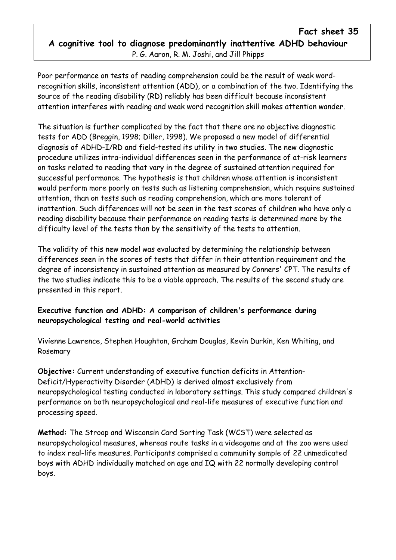## Fact sheet 35 A cognitive tool to diagnose predominantly inattentive ADHD behaviour P. G. Aaron, R. M. Joshi, and Jill Phipps

Poor performance on tests of reading comprehension could be the result of weak wordrecognition skills, inconsistent attention (ADD), or a combination of the two. Identifying the source of the reading disability (RD) reliably has been difficult because inconsistent attention interferes with reading and weak word recognition skill makes attention wander.

The situation is further complicated by the fact that there are no objective diagnostic tests for ADD (Breggin, 1998; Diller, 1998). We proposed a new model of differential diagnosis of ADHD-I/RD and field-tested its utility in two studies. The new diagnostic procedure utilizes intra-individual differences seen in the performance of at-risk learners on tasks related to reading that vary in the degree of sustained attention required for successful performance. The hypothesis is that children whose attention is inconsistent would perform more poorly on tests such as listening comprehension, which require sustained attention, than on tests such as reading comprehension, which are more tolerant of inattention. Such differences will not be seen in the test scores of children who have only a reading disability because their performance on reading tests is determined more by the difficulty level of the tests than by the sensitivity of the tests to attention.

The validity of this new model was evaluated by determining the relationship between differences seen in the scores of tests that differ in their attention requirement and the degree of inconsistency in sustained attention as measured by Conners' CPT. The results of the two studies indicate this to be a viable approach. The results of the second study are presented in this report.

# Executive function and ADHD: A comparison of children's performance during neuropsychological testing and real-world activities

Vivienne Lawrence, Stephen Houghton, Graham Douglas, Kevin Durkin, Ken Whiting, and Rosemary

Objective: Current understanding of executive function deficits in Attention-Deficit/Hyperactivity Disorder (ADHD) is derived almost exclusively from neuropsychological testing conducted in laboratory settings. This study compared children's performance on both neuropsychological and real-life measures of executive function and processing speed.

Method: The Stroop and Wisconsin Card Sorting Task (WCST) were selected as neuropsychological measures, whereas route tasks in a videogame and at the zoo were used to index real-life measures. Participants comprised a community sample of 22 unmedicated boys with ADHD individually matched on age and IQ with 22 normally developing control boys.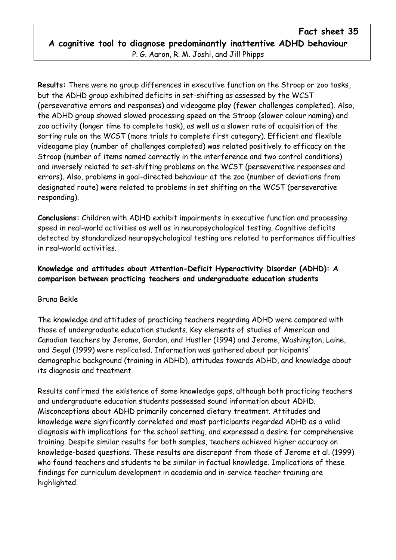Results: There were no group differences in executive function on the Stroop or zoo tasks, but the ADHD group exhibited deficits in set-shifting as assessed by the WCST (perseverative errors and responses) and videogame play (fewer challenges completed). Also, the ADHD group showed slowed processing speed on the Stroop (slower colour naming) and zoo activity (longer time to complete task), as well as a slower rate of acquisition of the sorting rule on the WCST (more trials to complete first category). Efficient and flexible videogame play (number of challenges completed) was related positively to efficacy on the Stroop (number of items named correctly in the interference and two control conditions) and inversely related to set-shifting problems on the WCST (perseverative responses and errors). Also, problems in goal-directed behaviour at the zoo (number of deviations from designated route) were related to problems in set shifting on the WCST (perseverative responding).

Conclusions: Children with ADHD exhibit impairments in executive function and processing speed in real-world activities as well as in neuropsychological testing. Cognitive deficits detected by standardized neuropsychological testing are related to performance difficulties in real-world activities.

## Knowledge and attitudes about Attention-Deficit Hyperactivity Disorder (ADHD): A comparison between practicing teachers and undergraduate education students

# Bruna Bekle

The knowledge and attitudes of practicing teachers regarding ADHD were compared with those of undergraduate education students. Key elements of studies of American and Canadian teachers by Jerome, Gordon, and Hustler (1994) and Jerome, Washington, Laine, and Segal (1999) were replicated. Information was gathered about participants' demographic background (training in ADHD), attitudes towards ADHD, and knowledge about its diagnosis and treatment.

Results confirmed the existence of some knowledge gaps, although both practicing teachers and undergraduate education students possessed sound information about ADHD. Misconceptions about ADHD primarily concerned dietary treatment. Attitudes and knowledge were significantly correlated and most participants regarded ADHD as a valid diagnosis with implications for the school setting, and expressed a desire for comprehensive training. Despite similar results for both samples, teachers achieved higher accuracy on knowledge-based questions. These results are discrepant from those of Jerome et al. (1999) who found teachers and students to be similar in factual knowledge. Implications of these findings for curriculum development in academia and in-service teacher training are highlighted.